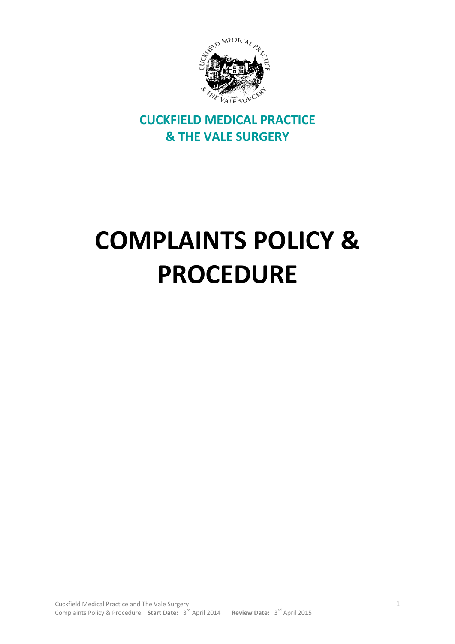

# **CUCKFIELD MEDICAL PRACTICE & THE VALE SURGERY**

# **COMPLAINTS POLICY & PROCEDURE**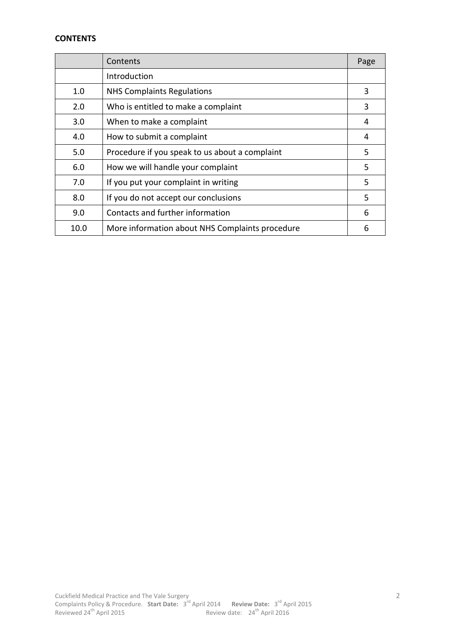# **CONTENTS**

|      | Contents                                        | Page |
|------|-------------------------------------------------|------|
|      | Introduction                                    |      |
| 1.0  | <b>NHS Complaints Regulations</b>               | 3    |
| 2.0  | Who is entitled to make a complaint             | 3    |
| 3.0  | When to make a complaint                        | 4    |
| 4.0  | How to submit a complaint                       | 4    |
| 5.0  | Procedure if you speak to us about a complaint  | 5    |
| 6.0  | How we will handle your complaint               | 5    |
| 7.0  | If you put your complaint in writing            | 5    |
| 8.0  | If you do not accept our conclusions            | 5    |
| 9.0  | Contacts and further information                | 6    |
| 10.0 | More information about NHS Complaints procedure | 6    |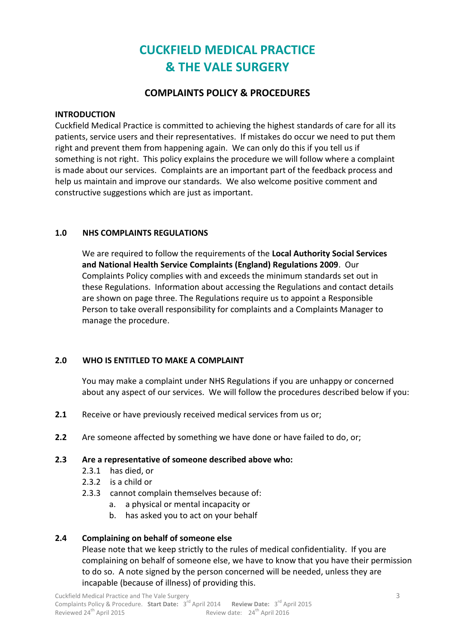# **CUCKFIELD MEDICAL PRACTICE & THE VALE SURGERY**

# **COMPLAINTS POLICY & PROCEDURES**

#### **INTRODUCTION**

Cuckfield Medical Practice is committed to achieving the highest standards of care for all its patients, service users and their representatives. If mistakes do occur we need to put them right and prevent them from happening again. We can only do this if you tell us if something is not right. This policy explains the procedure we will follow where a complaint is made about our services. Complaints are an important part of the feedback process and help us maintain and improve our standards. We also welcome positive comment and constructive suggestions which are just as important.

# **1.0 NHS COMPLAINTS REGULATIONS**

We are required to follow the requirements of the **Local Authority Social Services and National Health Service Complaints (England) Regulations 2009**. Our Complaints Policy complies with and exceeds the minimum standards set out in these Regulations. Information about accessing the Regulations and contact details are shown on page three. The Regulations require us to appoint a Responsible Person to take overall responsibility for complaints and a Complaints Manager to manage the procedure.

# **2.0 WHO IS ENTITLED TO MAKE A COMPLAINT**

You may make a complaint under NHS Regulations if you are unhappy or concerned about any aspect of our services. We will follow the procedures described below if you:

- **2.1** Receive or have previously received medical services from us or;
- **2.2** Are someone affected by something we have done or have failed to do, or;

#### **2.3 Are a representative of someone described above who:**

- 2.3.1 has died, or
- 2.3.2 is a child or
- 2.3.3 cannot complain themselves because of:
	- a. a physical or mental incapacity or
	- b. has asked you to act on your behalf

# **2.4 Complaining on behalf of someone else**

Please note that we keep strictly to the rules of medical confidentiality. If you are complaining on behalf of someone else, we have to know that you have their permission to do so. A note signed by the person concerned will be needed, unless they are incapable (because of illness) of providing this.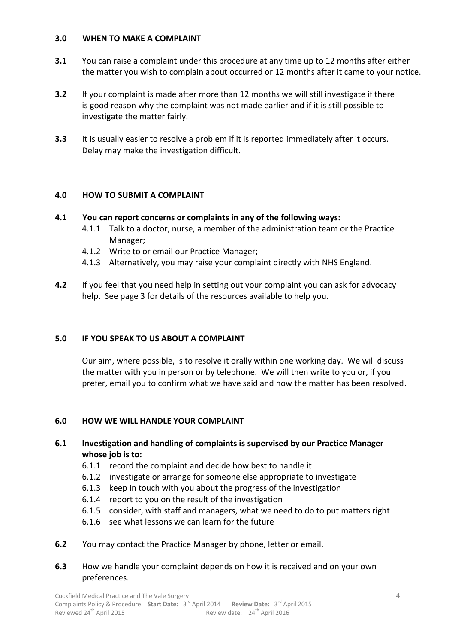#### **3.0 WHEN TO MAKE A COMPLAINT**

- **3.1** You can raise a complaint under this procedure at any time up to 12 months after either the matter you wish to complain about occurred or 12 months after it came to your notice.
- **3.2** If your complaint is made after more than 12 months we will still investigate if there is good reason why the complaint was not made earlier and if it is still possible to investigate the matter fairly.
- **3.3** It is usually easier to resolve a problem if it is reported immediately after it occurs. Delay may make the investigation difficult.

#### **4.0 HOW TO SUBMIT A COMPLAINT**

#### **4.1 You can report concerns or complaints in any of the following ways:**

- 4.1.1 Talk to a doctor, nurse, a member of the administration team or the Practice Manager;
- 4.1.2 Write to or email our Practice Manager;
- 4.1.3 Alternatively, you may raise your complaint directly with NHS England.
- **4.2** If you feel that you need help in setting out your complaint you can ask for advocacy help. See page 3 for details of the resources available to help you.

# **5.0 IF YOU SPEAK TO US ABOUT A COMPLAINT**

Our aim, where possible, is to resolve it orally within one working day. We will discuss the matter with you in person or by telephone. We will then write to you or, if you prefer, email you to confirm what we have said and how the matter has been resolved.

#### **6.0 HOW WE WILL HANDLE YOUR COMPLAINT**

- **6.1 Investigation and handling of complaints is supervised by our Practice Manager whose job is to:**
	- 6.1.1 record the complaint and decide how best to handle it
	- 6.1.2 investigate or arrange for someone else appropriate to investigate
	- 6.1.3 keep in touch with you about the progress of the investigation
	- 6.1.4 report to you on the result of the investigation
	- 6.1.5 consider, with staff and managers, what we need to do to put matters right
	- 6.1.6 see what lessons we can learn for the future
- **6.2** You may contact the Practice Manager by phone, letter or email.
- **6.3** How we handle your complaint depends on how it is received and on your own preferences.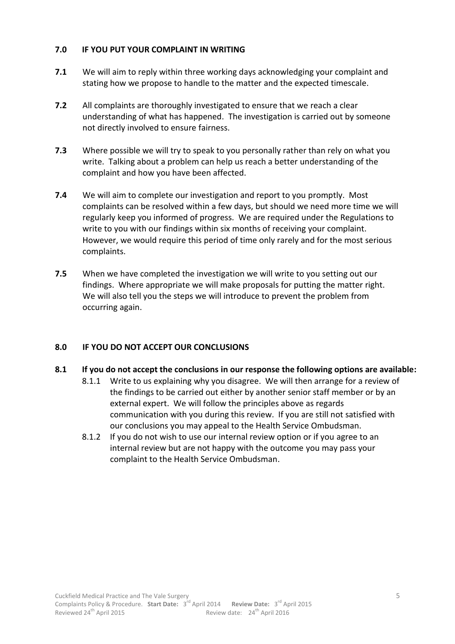## **7.0 IF YOU PUT YOUR COMPLAINT IN WRITING**

- **7.1** We will aim to reply within three working days acknowledging your complaint and stating how we propose to handle to the matter and the expected timescale.
- **7.2** All complaints are thoroughly investigated to ensure that we reach a clear understanding of what has happened. The investigation is carried out by someone not directly involved to ensure fairness.
- **7.3** Where possible we will try to speak to you personally rather than rely on what you write. Talking about a problem can help us reach a better understanding of the complaint and how you have been affected.
- **7.4** We will aim to complete our investigation and report to you promptly. Most complaints can be resolved within a few days, but should we need more time we will regularly keep you informed of progress. We are required under the Regulations to write to you with our findings within six months of receiving your complaint. However, we would require this period of time only rarely and for the most serious complaints.
- **7.5** When we have completed the investigation we will write to you setting out our findings. Where appropriate we will make proposals for putting the matter right. We will also tell you the steps we will introduce to prevent the problem from occurring again.

#### **8.0 IF YOU DO NOT ACCEPT OUR CONCLUSIONS**

#### **8.1 If you do not accept the conclusions in our response the following options are available:**

- 8.1.1 Write to us explaining why you disagree. We will then arrange for a review of the findings to be carried out either by another senior staff member or by an external expert. We will follow the principles above as regards communication with you during this review. If you are still not satisfied with our conclusions you may appeal to the Health Service Ombudsman.
- 8.1.2 If you do not wish to use our internal review option or if you agree to an internal review but are not happy with the outcome you may pass your complaint to the Health Service Ombudsman.